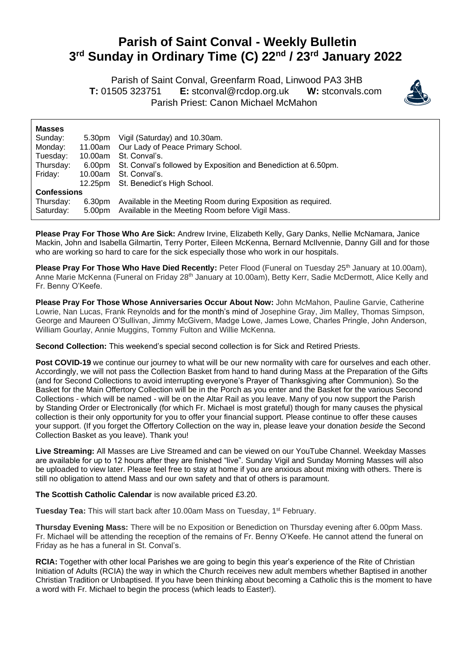## **Parish of Saint Conval - Weekly Bulletin 3 rd Sunday in Ordinary Time (C) 22nd / 23rd January 2022**

 Parish of Saint Conval, Greenfarm Road, Linwood PA3 3HB **T:** 01505 323751 **E:** [stconval@rcdop.org.uk](mailto:stconval@rcdop.org.uk) **W:** stconvals.com Parish Priest: Canon Michael McMahon



| <b>Masses</b>      |         |                                                                       |
|--------------------|---------|-----------------------------------------------------------------------|
| Sunday:            | 5.30pm  | Vigil (Saturday) and 10.30am.                                         |
| Monday:            |         | 11.00am Our Lady of Peace Primary School.                             |
| Tuesday:           |         | 10.00am St. Conval's.                                                 |
| Thursday:          |         | 6.00pm St. Conval's followed by Exposition and Benediction at 6.50pm. |
| Friday:            | 10.00am | St. Conval's.                                                         |
|                    |         | 12.25pm St. Benedict's High School.                                   |
| <b>Confessions</b> |         |                                                                       |
| Thursday:          | 6.30pm  | Available in the Meeting Room during Exposition as required.          |
| Saturday:          |         | 5.00pm Available in the Meeting Room before Vigil Mass.               |

**Please Pray For Those Who Are Sick:** Andrew Irvine, Elizabeth Kelly, Gary Danks, Nellie McNamara, Janice Mackin, John and Isabella Gilmartin, Terry Porter, Eileen McKenna, Bernard McIlvennie, Danny Gill and for those who are working so hard to care for the sick especially those who work in our hospitals.

**Please Pray For Those Who Have Died Recently:** Peter Flood (Funeral on Tuesday 25<sup>th</sup> January at 10.00am), Anne Marie McKenna (Funeral on Friday 28th January at 10.00am), Betty Kerr, Sadie McDermott, Alice Kelly and Fr. Benny O'Keefe.

**Please Pray For Those Whose Anniversaries Occur About Now:** John McMahon, Pauline Garvie, Catherine Lowrie, Nan Lucas, Frank Reynolds and for the month's mind of Josephine Gray, Jim Malley, Thomas Simpson, George and Maureen O'Sullivan, Jimmy McGivern, Madge Lowe, James Lowe, Charles Pringle, John Anderson, William Gourlay, Annie Muggins, Tommy Fulton and Willie McKenna.

**Second Collection:** This weekend's special second collection is for Sick and Retired Priests.

**Post COVID-19** we continue our journey to what will be our new normality with care for ourselves and each other. Accordingly, we will not pass the Collection Basket from hand to hand during Mass at the Preparation of the Gifts (and for Second Collections to avoid interrupting everyone's Prayer of Thanksgiving after Communion). So the Basket for the Main Offertory Collection will be in the Porch as you enter and the Basket for the various Second Collections - which will be named - will be on the Altar Rail as you leave. Many of you now support the Parish by Standing Order or Electronically (for which Fr. Michael is most grateful) though for many causes the physical collection is their only opportunity for you to offer your financial support. Please continue to offer these causes your support. (If you forget the Offertory Collection on the way in, please leave your donation *beside* the Second Collection Basket as you leave). Thank you!

**Live Streaming:** All Masses are Live Streamed and can be viewed on our YouTube Channel. Weekday Masses are available for up to 12 hours after they are finished "live". Sunday Vigil and Sunday Morning Masses will also be uploaded to view later. Please feel free to stay at home if you are anxious about mixing with others. There is still no obligation to attend Mass and our own safety and that of others is paramount.

**The Scottish Catholic Calendar** is now available priced £3.20.

Tuesday Tea: This will start back after 10.00am Mass on Tuesday, 1<sup>st</sup> February.

**Thursday Evening Mass:** There will be no Exposition or Benediction on Thursday evening after 6.00pm Mass. Fr. Michael will be attending the reception of the remains of Fr. Benny O'Keefe. He cannot attend the funeral on Friday as he has a funeral in St. Conval's.

**RCIA:** Together with other local Parishes we are going to begin this year's experience of the Rite of Christian Initiation of Adults (RCIA) the way in which the Church receives new adult members whether Baptised in another Christian Tradition or Unbaptised. If you have been thinking about becoming a Catholic this is the moment to have a word with Fr. Michael to begin the process (which leads to Easter!).